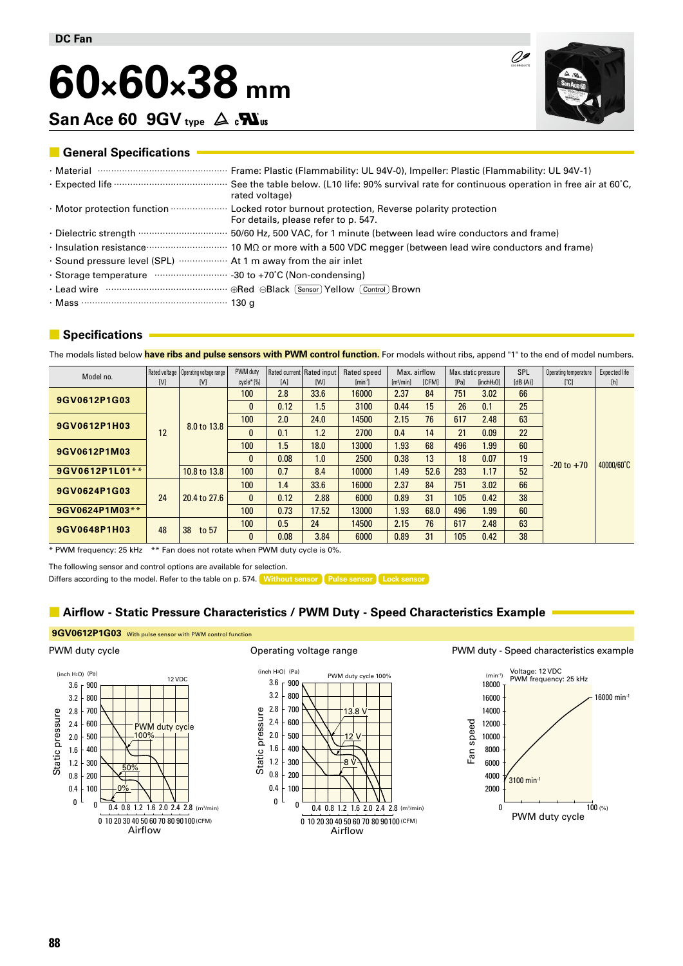# **60×60×38 mm**

San Ace 60 9GV **type**  $\Delta$  *c***N**<sub>us</sub>



00

# **■ General Specifications**

|                                                              | rated voltage)                                                                                                                                            |
|--------------------------------------------------------------|-----------------------------------------------------------------------------------------------------------------------------------------------------------|
|                                                              | · Motor protection function <b>with construction</b> Locked rotor burnout protection, Reverse polarity protection<br>For details, please refer to p. 547. |
|                                                              |                                                                                                                                                           |
|                                                              | Insulation resistance <b>Constitution</b> 10 MΩ or more with a 500 VDC megger (between lead wire conductors and frame)                                    |
| . Sound pressure level (SPL)  At 1 m away from the air inlet |                                                                                                                                                           |
|                                                              |                                                                                                                                                           |
|                                                              | · Lead wire ……………………………………… ⊕Red ⊝Black [Sensor] Yellow [Control] Brown                                                                                   |
|                                                              |                                                                                                                                                           |

# **■ Specifications**

The models listed below **have ribs and pulse sensors with PWM control function.** For models without ribs, append "1" to the end of model numbers.

| Model no.          | Rated voltage   Operating voltage range |              | PWM duty     |      | Rated current   Rated input | Rated speed | Max. airflow          |              | Max. static pressure |                        | SPL     | Operating temperature | Expected life    |
|--------------------|-----------------------------------------|--------------|--------------|------|-----------------------------|-------------|-----------------------|--------------|----------------------|------------------------|---------|-----------------------|------------------|
|                    | [V]                                     | [V]          | cycle* [%]   | [A]  | [W]                         | $[min-1]$   | [m <sup>3</sup> /min] | <b>ICFM1</b> | [Pa]                 | [inchH <sub>2</sub> O] | [dB(A)] | [°C]                  | $[h] \centering$ |
| 9GV0612P1G03       |                                         | 8.0 to 13.8  | 100          | 2.8  | 33.6                        | 16000       | 2.37                  | 84           | 751                  | 3.02                   | 66      | $-20$ to $+70$        | 40000/60°C       |
|                    |                                         |              | $\mathbf{0}$ | 0.12 | 1.5                         | 3100        | 0.44                  | 15           | 26                   | 0.1                    | 25      |                       |                  |
| 9GV0612P1H03<br>12 |                                         |              | 100          | 2.0  | 24.0                        | 14500       | 2.15                  | 76           | 617                  | 2.48                   | 63      |                       |                  |
|                    |                                         |              | $\mathbf{0}$ | 0.1  | 1.2                         | 2700        | 0.4                   | 14           | 21                   | 0.09                   | 22      |                       |                  |
| 9GV0612P1M03       |                                         |              | 100          | 1.5  | 18.0                        | 13000       | 1.93                  | 68           | 496                  | 1.99                   | 60      |                       |                  |
|                    |                                         |              | $\mathbf{0}$ | 0.08 | 1.0                         | 2500        | 0.38                  | 13           | 18                   | 0.07                   | 19      |                       |                  |
| 9GV0612P1L01**     |                                         | 10.8 to 13.8 | 100          | 0.7  | 8.4                         | 10000       | 1.49                  | 52.6         | 293                  | 1.17                   | 52      |                       |                  |
| 9GV0624P1G03       |                                         | 20.4 to 27.6 | 100          | 1.4  | 33.6                        | 16000       | 2.37                  | 84           | 751                  | 3.02                   | 66      |                       |                  |
|                    | 24                                      |              | $\mathbf{0}$ | 0.12 | 2.88                        | 6000        | 0.89                  | 31           | 105                  | 0.42                   | 38      |                       |                  |
| 9GV0624P1M03**     |                                         |              | 100          | 0.73 | 17.52                       | 13000       | .93                   | 68.0         | 496                  | 1.99                   | 60      |                       |                  |
| 9GV0648P1H03       | 48                                      | 38<br>to 57  | 100          | 0.5  | 24                          | 14500       | 2.15                  | 76           | 617                  | 2.48                   | 63      |                       |                  |
|                    |                                         |              | $\mathbf{0}$ | 0.08 | 3.84                        | 6000        | 0.89                  | 31           | 105                  | 0.42                   | 38      |                       |                  |

\* PWM frequency: 25 kHz \*\* Fan does not rotate when PWM duty cycle is 0%.

The following sensor and control options are available for selection.

Differs according to the model. Refer to the table on p. 574. **Without sensor** Pulse sensor Lock sensor

# **■ Airflow - Static Pressure Characteristics / PWM Duty - Speed Characteristics Example**

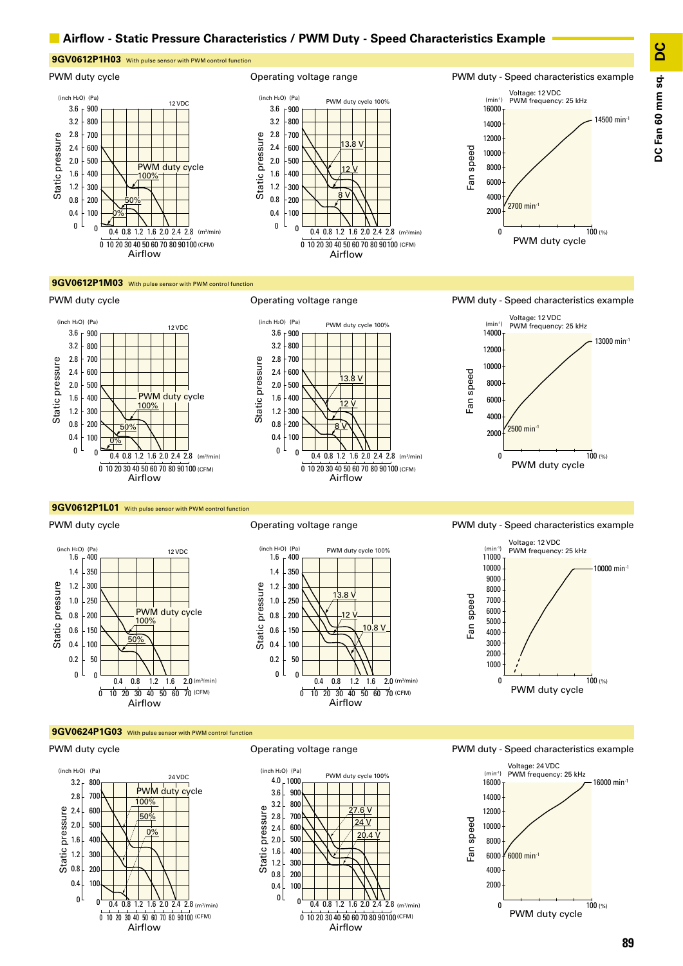## **■ Airflow - Static Pressure Characteristics / PWM Duty - Speed Characteristics Example**



#### **9GV0612P1M03** With pulse sensor with PWM control function



### **9GV0612P1L01** With pulse sensor with PWM control function

PWM duty cycle



### Operating voltage range









#### PWM duty cycle



Operating voltage range



PWM duty - Speed characteristics example

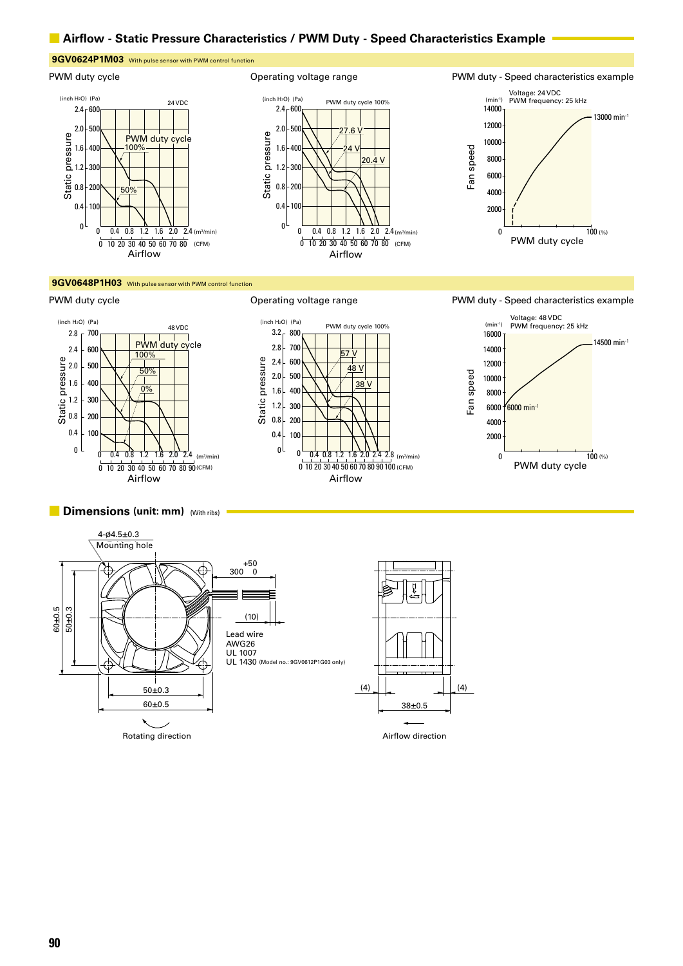## ■ **Airflow - Static Pressure Characteristics / PWM Duty - Speed Characteristics Example**

# **9GV0624P1M03** With pulse sensor with PWM control function

**9GV0648P1H03** With pulse sensor with PWM control function

静圧







#### PWM duty cycle **CONFERGIATE:** Operating voltage range TWM duty - Speed characteristics example









#### **■ Dimensions (unit: mm)** (With ribs)